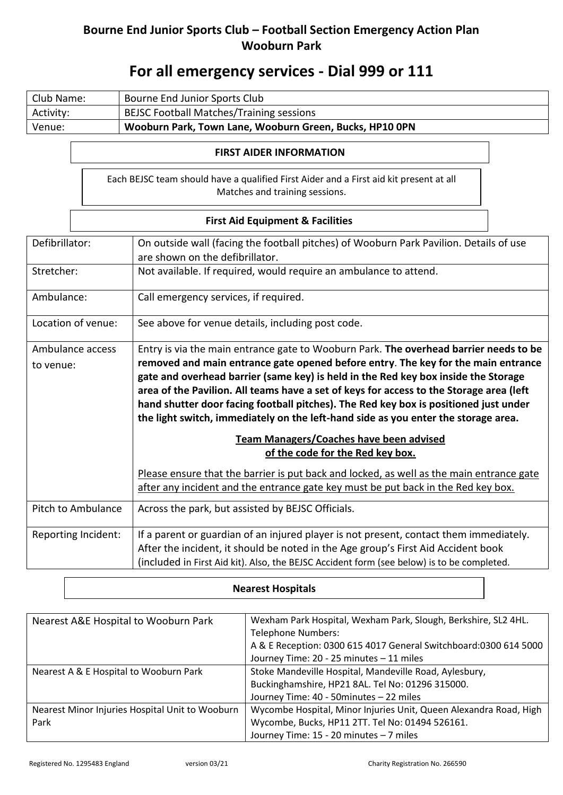## **Bourne End Junior Sports Club – Football Section Emergency Action Plan Wooburn Park**

# **For all emergency services - Dial 999 or 111**

| Club Name: | Bourne End Junior Sports Club                           |
|------------|---------------------------------------------------------|
| Activity:  | <b>BEJSC Football Matches/Training sessions</b>         |
| Venue:     | Wooburn Park, Town Lane, Wooburn Green, Bucks, HP10 OPN |

#### **FIRST AIDER INFORMATION**

Each BEJSC team should have a qualified First Aider and a First aid kit present at all Matches and training sessions.

### **First Aid Equipment & Facilities**

| Defibrillator:      | On outside wall (facing the football pitches) of Wooburn Park Pavilion. Details of use<br>are shown on the defibrillator.                                                                                                                                                                                                                                                                                                                        |  |
|---------------------|--------------------------------------------------------------------------------------------------------------------------------------------------------------------------------------------------------------------------------------------------------------------------------------------------------------------------------------------------------------------------------------------------------------------------------------------------|--|
| Stretcher:          | Not available. If required, would require an ambulance to attend.                                                                                                                                                                                                                                                                                                                                                                                |  |
| Ambulance:          | Call emergency services, if required.                                                                                                                                                                                                                                                                                                                                                                                                            |  |
| Location of venue:  | See above for venue details, including post code.                                                                                                                                                                                                                                                                                                                                                                                                |  |
| Ambulance access    | Entry is via the main entrance gate to Wooburn Park. The overhead barrier needs to be                                                                                                                                                                                                                                                                                                                                                            |  |
| to venue:           | removed and main entrance gate opened before entry. The key for the main entrance<br>gate and overhead barrier (same key) is held in the Red key box inside the Storage<br>area of the Pavilion. All teams have a set of keys for access to the Storage area (left<br>hand shutter door facing football pitches). The Red key box is positioned just under<br>the light switch, immediately on the left-hand side as you enter the storage area. |  |
|                     | <b>Team Managers/Coaches have been advised</b>                                                                                                                                                                                                                                                                                                                                                                                                   |  |
|                     | of the code for the Red key box.                                                                                                                                                                                                                                                                                                                                                                                                                 |  |
|                     | Please ensure that the barrier is put back and locked, as well as the main entrance gate<br>after any incident and the entrance gate key must be put back in the Red key box.                                                                                                                                                                                                                                                                    |  |
| Pitch to Ambulance  | Across the park, but assisted by BEJSC Officials.                                                                                                                                                                                                                                                                                                                                                                                                |  |
| Reporting Incident: | If a parent or guardian of an injured player is not present, contact them immediately.                                                                                                                                                                                                                                                                                                                                                           |  |
|                     | After the incident, it should be noted in the Age group's First Aid Accident book                                                                                                                                                                                                                                                                                                                                                                |  |
|                     | (included in First Aid kit). Also, the BEJSC Accident form (see below) is to be completed.                                                                                                                                                                                                                                                                                                                                                       |  |

#### **Nearest Hospitals**

| Nearest A&E Hospital to Wooburn Park            | Wexham Park Hospital, Wexham Park, Slough, Berkshire, SL2 4HL.    |
|-------------------------------------------------|-------------------------------------------------------------------|
|                                                 | <b>Telephone Numbers:</b>                                         |
|                                                 | A & E Reception: 0300 615 4017 General Switchboard: 0300 614 5000 |
|                                                 | Journey Time: 20 - 25 minutes - 11 miles                          |
| Nearest A & E Hospital to Wooburn Park          | Stoke Mandeville Hospital, Mandeville Road, Aylesbury,            |
|                                                 | Buckinghamshire, HP21 8AL. Tel No: 01296 315000.                  |
|                                                 | Journey Time: 40 - 50 minutes - 22 miles                          |
| Nearest Minor Injuries Hospital Unit to Wooburn | Wycombe Hospital, Minor Injuries Unit, Queen Alexandra Road, High |
| Park                                            | Wycombe, Bucks, HP11 2TT. Tel No: 01494 526161.                   |
|                                                 | Journey Time: 15 - 20 minutes - 7 miles                           |